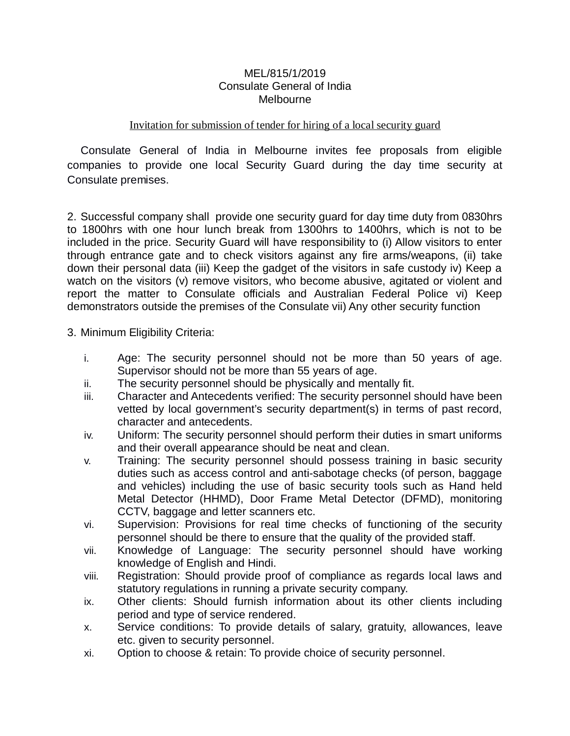#### MEL/815/1/2019 Consulate General of India Melbourne

### Invitation for submission of tender for hiring of a local security guard

Consulate General of India in Melbourne invites fee proposals from eligible companies to provide one local Security Guard during the day time security at Consulate premises.

2. Successful company shall provide one security guard for day time duty from 0830hrs to 1800hrs with one hour lunch break from 1300hrs to 1400hrs, which is not to be included in the price. Security Guard will have responsibility to (i) Allow visitors to enter through entrance gate and to check visitors against any fire arms/weapons, (ii) take down their personal data (iii) Keep the gadget of the visitors in safe custody iv) Keep a watch on the visitors (v) remove visitors, who become abusive, agitated or violent and report the matter to Consulate officials and Australian Federal Police vi) Keep demonstrators outside the premises of the Consulate vii) Any other security function

- 3. Minimum Eligibility Criteria:
	- i. Age: The security personnel should not be more than 50 years of age. Supervisor should not be more than 55 years of age.
	- ii. The security personnel should be physically and mentally fit.
	- iii. Character and Antecedents verified: The security personnel should have been vetted by local government's security department(s) in terms of past record, character and antecedents.
	- iv. Uniform: The security personnel should perform their duties in smart uniforms and their overall appearance should be neat and clean.
	- v. Training: The security personnel should possess training in basic security duties such as access control and anti-sabotage checks (of person, baggage and vehicles) including the use of basic security tools such as Hand held Metal Detector (HHMD), Door Frame Metal Detector (DFMD), monitoring CCTV, baggage and letter scanners etc.
	- vi. Supervision: Provisions for real time checks of functioning of the security personnel should be there to ensure that the quality of the provided staff.
	- vii. Knowledge of Language: The security personnel should have working knowledge of English and Hindi.
	- viii. Registration: Should provide proof of compliance as regards local laws and statutory regulations in running a private security company.
	- ix. Other clients: Should furnish information about its other clients including period and type of service rendered.
	- x. Service conditions: To provide details of salary, gratuity, allowances, leave etc. given to security personnel.
	- xi. Option to choose & retain: To provide choice of security personnel.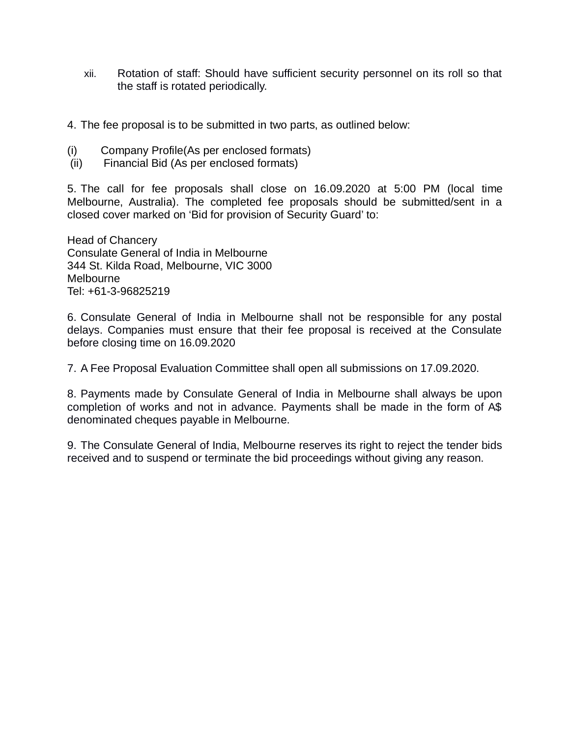- xii. Rotation of staff: Should have sufficient security personnel on its roll so that the staff is rotated periodically.
- 4. The fee proposal is to be submitted in two parts, as outlined below:
- (i) Company Profile(As per enclosed formats)
- (ii) Financial Bid (As per enclosed formats)

5. The call for fee proposals shall close on 16.09.2020 at 5:00 PM (local time Melbourne, Australia). The completed fee proposals should be submitted/sent in a closed cover marked on 'Bid for provision of Security Guard' to:

Head of Chancery Consulate General of India in Melbourne 344 St. Kilda Road, Melbourne, VIC 3000 Melbourne Tel: +61-3-96825219

6. Consulate General of India in Melbourne shall not be responsible for any postal delays. Companies must ensure that their fee proposal is received at the Consulate before closing time on 16.09.2020

7. A Fee Proposal Evaluation Committee shall open all submissions on 17.09.2020.

8. Payments made by Consulate General of India in Melbourne shall always be upon completion of works and not in advance. Payments shall be made in the form of A\$ denominated cheques payable in Melbourne.

9. The Consulate General of India, Melbourne reserves its right to reject the tender bids received and to suspend or terminate the bid proceedings without giving any reason.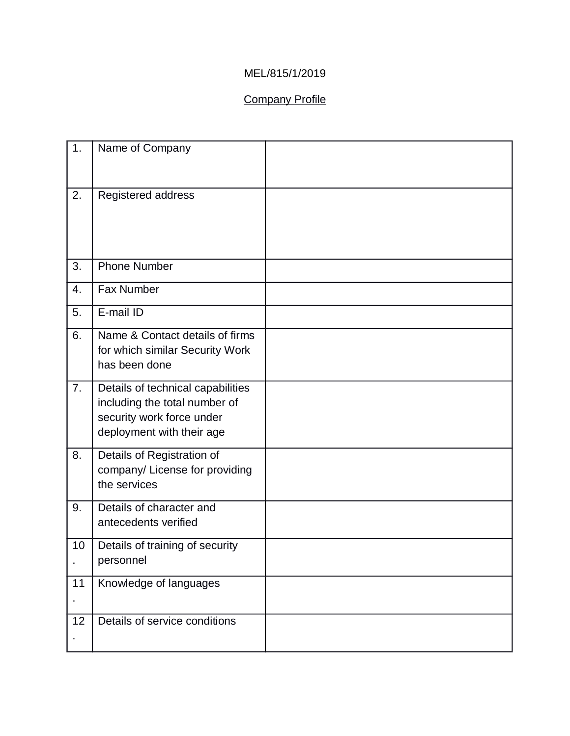## MEL/815/1/2019

# Company Profile

| 1. | Name of Company                                                                                                              |  |
|----|------------------------------------------------------------------------------------------------------------------------------|--|
| 2. | Registered address                                                                                                           |  |
| 3. | <b>Phone Number</b>                                                                                                          |  |
| 4. | Fax Number                                                                                                                   |  |
| 5. | E-mail ID                                                                                                                    |  |
| 6. | Name & Contact details of firms<br>for which similar Security Work<br>has been done                                          |  |
| 7. | Details of technical capabilities<br>including the total number of<br>security work force under<br>deployment with their age |  |
| 8. | Details of Registration of<br>company/ License for providing<br>the services                                                 |  |
| 9. | Details of character and<br>antecedents verified                                                                             |  |
| 10 | Details of training of security<br>personnel                                                                                 |  |
| 11 | Knowledge of languages                                                                                                       |  |
| 12 | Details of service conditions                                                                                                |  |